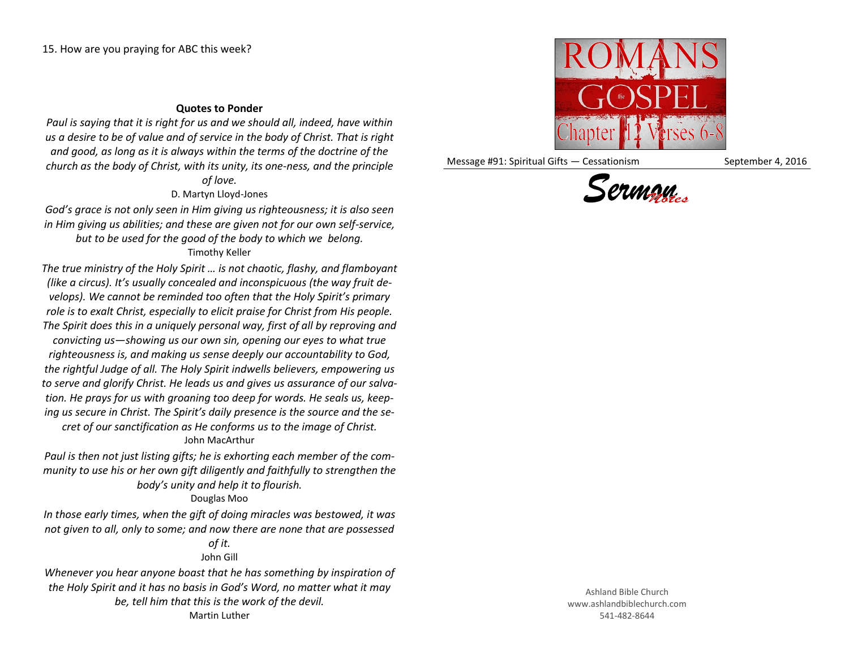## **Quotes to Ponder**

*Paul is saying that it is right for us and we should all, indeed, have within us a desire to be of value and of service in the body of Christ. That is right and good, as long as it is always within the terms of the doctrine of the church as the body of Christ, with its unity, its one-ness, and the principle* 

## *of love.* D. Martyn Lloyd-Jones

*God's grace is not only seen in Him giving us righteousness; it is also seen in Him giving us abilities; and these are given not for our own self-service, but to be used for the good of the body to which we belong.* Timothy Keller

*The true ministry of the Holy Spirit … is not chaotic, flashy, and flamboyant (like a circus). It's usually concealed and inconspicuous (the way fruit develops). We cannot be reminded too often that the Holy Spirit's primary role is to exalt Christ, especially to elicit praise for Christ from His people. The Spirit does this in a uniquely personal way, first of all by reproving and convicting us—showing us our own sin, opening our eyes to what true* 

*righteousness is, and making us sense deeply our accountability to God, the rightful Judge of all. The Holy Spirit indwells believers, empowering us to serve and glorify Christ. He leads us and gives us assurance of our salvation. He prays for us with groaning too deep for words. He seals us, keeping us secure in Christ. The Spirit's daily presence is the source and the se-*

*cret of our sanctification as He conforms us to the image of Christ.* John MacArthur

*Paul is then not just listing gifts; he is exhorting each member of the community to use his or her own gift diligently and faithfully to strengthen the body's unity and help it to flourish.*

## Douglas Moo

*In those early times, when the gift of doing miracles was bestowed, it was not given to all, only to some; and now there are none that are possessed* 

## *of it.* John Gill

*Whenever you hear anyone boast that he has something by inspiration of the Holy Spirit and it has no basis in God's Word, no matter what it may be, tell him that this is the work of the devil.* Martin Luther



Message #91: Spiritual Gifts — Cessationism September 4, 2016



Ashland Bible Church www.ashlandbiblechurch.com 541-482-8644